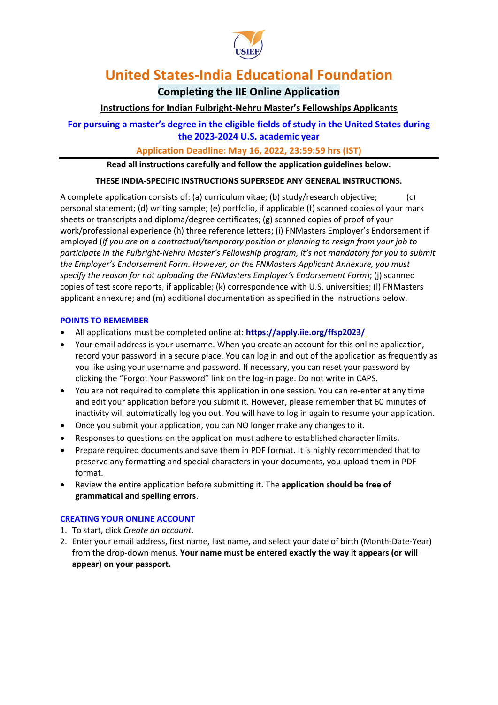

# **Completing the IIE Online Application**

# **Instructions for Indian Fulbright-Nehru Master's Fellowships Applicants**

**For pursuing a master's degree in the eligible fields of study in the United States during the 2023-2024 U.S. academic year**

# **Application Deadline: May 16, 2022, 23:59:59 hrs (IST)**

**Read all instructions carefully and follow the application guidelines below.**

# **THESE INDIA-SPECIFIC INSTRUCTIONS SUPERSEDE ANY GENERAL INSTRUCTIONS.**

A complete application consists of: (a) curriculum vitae; (b) study/research objective; (c) personal statement; (d) writing sample; (e) portfolio, if applicable (f) scanned copies of your mark sheets or transcripts and diploma/degree certificates; (g) scanned copies of proof of your work/professional experience (h) three reference letters; (i) FNMasters Employer's Endorsement if employed (*If you are on a contractual/temporary position or planning to resign from your job to participate in the Fulbright-Nehru Master's Fellowship program, it's not mandatory for you to submit the Employer's Endorsement Form. However, on the FNMasters Applicant Annexure, you must specify the reason for not uploading the FNMasters Employer's Endorsement Form*); (j) scanned copies of test score reports, if applicable; (k) correspondence with U.S. universities; (l) FNMasters applicant annexure; and (m) additional documentation as specified in the instructions below.

## **POINTS TO REMEMBER**

- All applications must be completed online at: **<https://apply.iie.org/ffsp2023/>**
- Your email address is your username. When you create an account for this online application, record your password in a secure place. You can log in and out of the application as frequently as you like using your username and password. If necessary, you can reset your password by clicking the "Forgot Your Password" link on the log-in page. Do not write in CAPS.
- You are not required to complete this application in one session. You can re-enter at any time and edit your application before you submit it. However, please remember that 60 minutes of inactivity will automatically log you out. You will have to log in again to resume your application.
- Once you submit your application, you can NO longer make any changes to it.
- Responses to questions on the application must adhere to established character limits**.**
- Prepare required documents and save them in PDF format. It is highly recommended that to preserve any formatting and special characters in your documents, you upload them in PDF format.
- Review the entire application before submitting it. The **application should be free of grammatical and spelling errors**.

## **CREATING YOUR ONLINE ACCOUNT**

- 1. To start, click *Create an account*.
- 2. Enter your email address, first name, last name, and select your date of birth (Month-Date-Year) from the drop-down menus. **Your name must be entered exactly the way it appears (or will appear) on your passport.**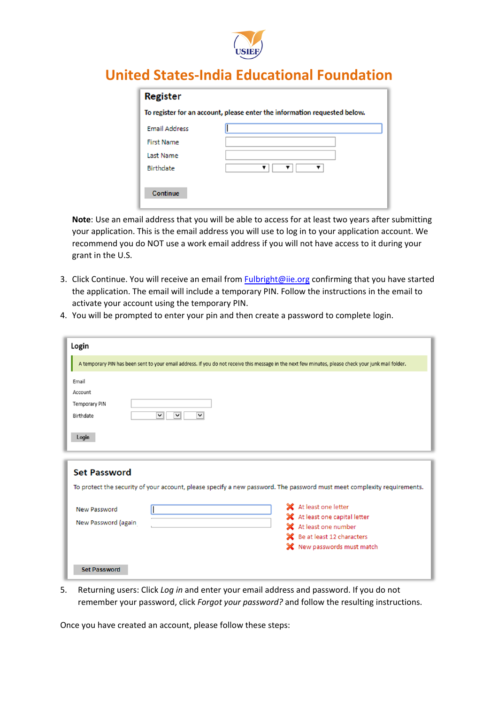

| To register for an account, please enter the information requested below. |  |  |  |  |
|---------------------------------------------------------------------------|--|--|--|--|
|                                                                           |  |  |  |  |
|                                                                           |  |  |  |  |
|                                                                           |  |  |  |  |
| ▼                                                                         |  |  |  |  |
|                                                                           |  |  |  |  |
|                                                                           |  |  |  |  |
|                                                                           |  |  |  |  |

**Note**: Use an email address that you will be able to access for at least two years after submitting your application. This is the email address you will use to log in to your application account. We recommend you do NOT use a work email address if you will not have access to it during your grant in the U.S.

- 3. Click Continue. You will receive an email from [Fulbright@iie.org](mailto:Fulbright@iie.org) confirming that you have started the application. The email will include a temporary PIN. Follow the instructions in the email to activate your account using the temporary PIN.
- 4. You will be prompted to enter your pin and then create a password to complete login.

| Login                                                                                                                                                |                                                                                                                                                  |  |  |  |
|------------------------------------------------------------------------------------------------------------------------------------------------------|--------------------------------------------------------------------------------------------------------------------------------------------------|--|--|--|
| A temporary PIN has been sent to your email address. If you do not receive this message in the next few minutes, please check your junk mail folder. |                                                                                                                                                  |  |  |  |
| Email<br>Account<br><b>Temporary PIN</b><br>$\vee$<br>$\checkmark$<br>$\checkmark$<br>Birthdate<br>Login                                             |                                                                                                                                                  |  |  |  |
| <b>Set Password</b><br>To protect the security of your account, please specify a new password. The password must meet complexity requirements.       |                                                                                                                                                  |  |  |  |
| New Password<br>New Password (again                                                                                                                  | X At least one letter<br>X At least one capital letter<br>X At least one number<br>State Be at least 12 characters<br>X New passwords must match |  |  |  |
| <b>Set Password</b>                                                                                                                                  |                                                                                                                                                  |  |  |  |

5. Returning users: Click *Log in* and enter your email address and password. If you do not remember your password, click *Forgot your password?* and follow the resulting instructions.

Once you have created an account, please follow these steps: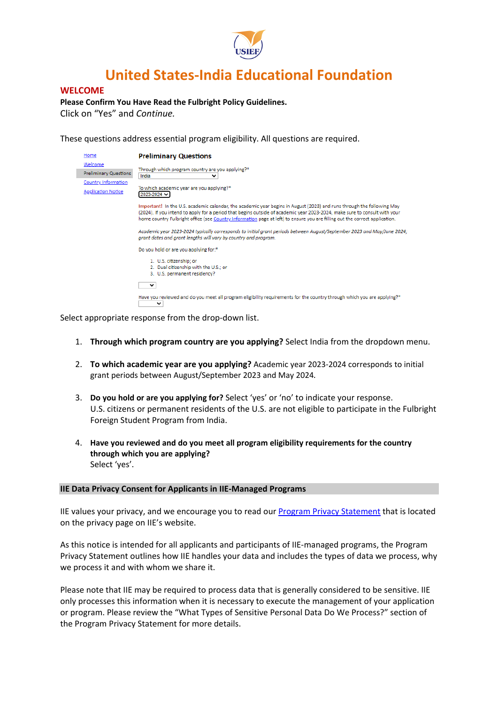

## **WELCOME**

**Please Confirm You Have Read the Fulbright Policy Guidelines.**

Click on "Yes" and *Continue.*

These questions address essential program eligibility. All questions are required.

| Home                                    | <b>Preliminary Questions</b>                                                                                                                                                                                                                                                                                                                                                        |
|-----------------------------------------|-------------------------------------------------------------------------------------------------------------------------------------------------------------------------------------------------------------------------------------------------------------------------------------------------------------------------------------------------------------------------------------|
| Welcome<br><b>Preliminary Questions</b> | Through which program country are you applying?*<br>India<br>v                                                                                                                                                                                                                                                                                                                      |
| Country Information                     |                                                                                                                                                                                                                                                                                                                                                                                     |
| <b>Application Notice</b>               | To which academic year are you applying?*<br>2023-2024                                                                                                                                                                                                                                                                                                                              |
|                                         | Important! In the U.S. academic calendar, the academic year begins in August (2023) and runs through the following May<br>(2024). If you intend to apply for a period that begins outside of academic year 2023-2024, make sure to consult with your<br>home country Fulbright office (see Country Information page at left) to ensure you are filling out the correct application. |
|                                         | Academic year 2023-2024 typically corresponds to initial grant periods between August/September 2023 and May/June 2024;<br>arant dates and arant lenaths will vary by country and program.                                                                                                                                                                                          |
|                                         | Do you hold or are you applying for:*                                                                                                                                                                                                                                                                                                                                               |
|                                         | 1. U.S. citizenship; or                                                                                                                                                                                                                                                                                                                                                             |
|                                         | 2. Dual citizenship with the U.S.; or                                                                                                                                                                                                                                                                                                                                               |
|                                         | 3. U.S. permanent residency?                                                                                                                                                                                                                                                                                                                                                        |
|                                         | v                                                                                                                                                                                                                                                                                                                                                                                   |
|                                         | Have you reviewed and do you meet all program eligibility requirements for the country through which you are applying?*<br>$\checkmark$                                                                                                                                                                                                                                             |

Select appropriate response from the drop-down list.

- 1. **Through which program country are you applying?** Select India from the dropdown menu.
- 2. **To which academic year are you applying?** Academic year 2023-2024 corresponds to initial grant periods between August/September 2023 and May 2024*.*
- 3. **Do you hold or are you applying for?** Select 'yes' or 'no' to indicate your response. U.S. citizens or permanent residents of the U.S. are not eligible to participate in the Fulbright Foreign Student Program from India.
- 4. **Have you reviewed and do you meet all program eligibility requirements for the country through which you are applying?** Select 'yes'.

#### **IIE Data Privacy Consent for Applicants in IIE-Managed Programs**

IIE values your privacy, and we encourage you to read our [Program Privacy Statement](http://www.iie.org/Learn/Privacy/IIE-Program-Privacy-Statement) that is located on the privacy page on IIE's website.

As this notice is intended for all applicants and participants of IIE-managed programs, the Program Privacy Statement outlines how IIE handles your data and includes the types of data we process, why we process it and with whom we share it.

Please note that IIE may be required to process data that is generally considered to be sensitive. IIE only processes this information when it is necessary to execute the management of your application or program. Please review the "What Types of Sensitive Personal Data Do We Process?" section of the Program Privacy Statement for more details.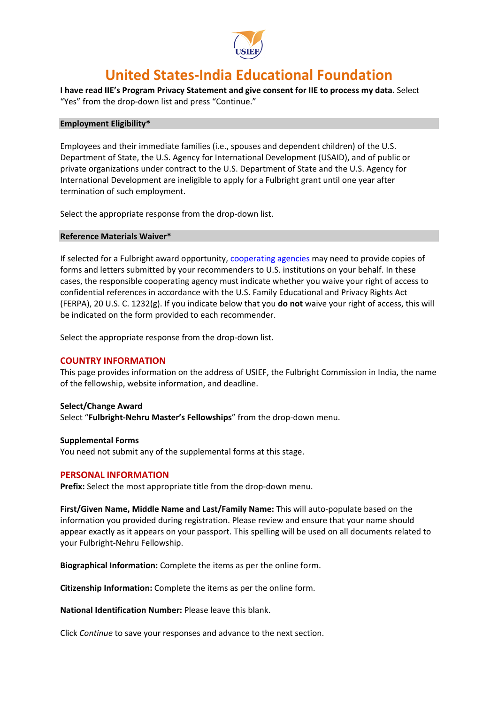

**I have read IIE's Program Privacy Statement and give consent for IIE to process my data.** Select "Yes" from the drop-down list and press "Continue."

#### **Employment Eligibility\***

Employees and their immediate families (i.e., spouses and dependent children) of the U.S. Department of State, the U․S․ Agency for International Development (USAID), and of public or private organizations under contract to the U.S. Department of State and the U․S․ Agency for International Development are ineligible to apply for a Fulbright grant until one year after termination of such employment.

Select the appropriate response from the drop-down list.

### **Reference Materials Waiver\***

If selected for a Fulbright award opportunity, [cooperating agencies](https://eca.state.gov/fulbright/about-fulbright/funding-and-administration/administrative-partners) may need to provide copies of forms and letters submitted by your recommenders to U.S. institutions on your behalf. In these cases, the responsible cooperating agency must indicate whether you waive your right of access to confidential references in accordance with the U.S. Family Educational and Privacy Rights Act (FERPA), 20 U.S. C. 1232(g). If you indicate below that you **do not** waive your right of access, this will be indicated on the form provided to each recommender.

Select the appropriate response from the drop-down list.

## **COUNTRY INFORMATION**

This page provides information on the address of USIEF, the Fulbright Commission in India, the name of the fellowship, website information, and deadline.

#### **Select/Change Award**

Select "**Fulbright-Nehru Master's Fellowships**" from the drop-down menu.

### **Supplemental Forms** You need not submit any of the supplemental forms at this stage.

## **PERSONAL INFORMATION**

**Prefix:** Select the most appropriate title from the drop-down menu.

**First/Given Name, Middle Name and Last/Family Name:** This will auto-populate based on the information you provided during registration. Please review and ensure that your name should appear exactly as it appears on your passport. This spelling will be used on all documents related to your Fulbright-Nehru Fellowship.

**Biographical Information:** Complete the items as per the online form.

**Citizenship Information:** Complete the items as per the online form.

**National Identification Number:** Please leave this blank.

Click *Continue* to save your responses and advance to the next section.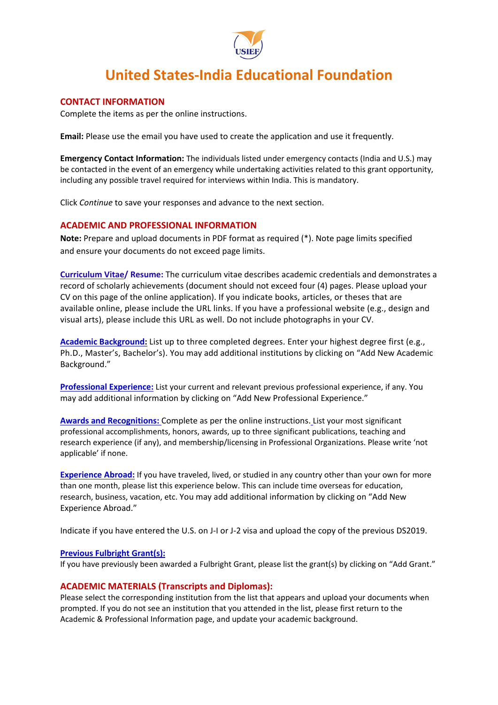

## **CONTACT INFORMATION**

Complete the items as per the online instructions.

**Email:** Please use the email you have used to create the application and use it frequently.

**Emergency Contact Information:** The individuals listed under emergency contacts (India and U.S.) may be contacted in the event of an emergency while undertaking activities related to this grant opportunity, including any possible travel required for interviews within India. This is mandatory.

Click *Continue* to save your responses and advance to the next section.

## **ACADEMIC AND PROFESSIONAL INFORMATION**

**Note:** Prepare and upload documents in PDF format as required (\*). Note page limits specified and ensure your documents do not exceed page limits.

**Curriculum Vitae/ Resume:** The curriculum vitae describes academic credentials and demonstrates a record of scholarly achievements (document should not exceed four (4) pages. Please upload your CV on this page of the online application). If you indicate books, articles, or theses that are available online, please include the URL links. If you have a professional website (e.g., design and visual arts), please include this URL as well. Do not include photographs in your CV.

**Academic Background:** List up to three completed degrees. Enter your highest degree first (e.g., Ph.D., Master's, Bachelor's). You may add additional institutions by clicking on "Add New Academic Background."

**Professional Experience:** List your current and relevant previous professional experience, if any. You may add additional information by clicking on "Add New Professional Experience."

**Awards and Recognitions:** Complete as per the online instructions. List your most significant professional accomplishments, honors, awards, up to three significant publications, teaching and research experience (if any), and membership/licensing in Professional Organizations. Please write 'not applicable' if none.

**Experience Abroad:** If you have traveled, lived, or studied in any country other than your own for more than one month, please list this experience below. This can include time overseas for education, research, business, vacation, etc. You may add additional information by clicking on "Add New Experience Abroad."

Indicate if you have entered the U.S. on J-I or J-2 visa and upload the copy of the previous DS2019.

## **Previous Fulbright Grant(s):**

If you have previously been awarded a Fulbright Grant, please list the grant(s) by clicking on "Add Grant."

## **ACADEMIC MATERIALS (Transcripts and Diplomas):**

Please select the corresponding institution from the list that appears and upload your documents when prompted. If you do not see an institution that you attended in the list, please first return to the Academic & Professional Information page, and update your academic background.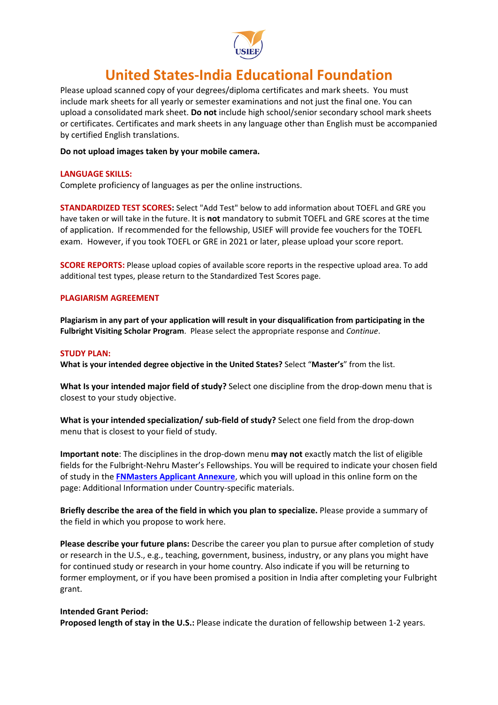

Please upload scanned copy of your degrees/diploma certificates and mark sheets. You must include mark sheets for all yearly or semester examinations and not just the final one. You can upload a consolidated mark sheet. **Do not** include high school/senior secondary school mark sheets or certificates. Certificates and mark sheets in any language other than English must be accompanied by certified English translations.

### **Do not upload images taken by your mobile camera.**

### **LANGUAGE SKILLS:**

Complete proficiency of languages as per the online instructions.

**STANDARDIZED TEST SCORES:** Select "Add Test" below to add information about TOEFL and GRE you have taken or will take in the future. It is **not** mandatory to submit TOEFL and GRE scores at the time of application. If recommended for the fellowship, USIEF will provide fee vouchers for the TOEFL exam. However, if you took TOEFL or GRE in 2021 or later, please upload your score report.

**SCORE REPORTS:** Please upload copies of available score reports in the respective upload area. To add additional test types, please return to the Standardized Test Scores page.

### **PLAGIARISM AGREEMENT**

**Plagiarism in any part of your application will result in your disqualification from participating in the Fulbright Visiting Scholar Program**. Please select the appropriate response and *Continue*.

#### **STUDY PLAN:**

**What is your intended degree objective in the United States?** Select "**Master's**" from the list.

**What Is your intended major field of study?** Select one discipline from the drop-down menu that is closest to your study objective.

**What is your intended specialization/ sub-field of study?** Select one field from the drop-down menu that is closest to your field of study.

**Important note**: The disciplines in the drop-down menu **may not** exactly match the list of eligible fields for the Fulbright-Nehru Master's Fellowships. You will be required to indicate your chosen field of study in the **[FNMasters Applicant Annexure](https://usief.org.in/uploadip/ip2023-24/FNMasters_annexure.pdf)**, which you will upload in this online form on the page: Additional Information under Country-specific materials.

**Briefly describe the area of the field in which you plan to specialize.** Please provide a summary of the field in which you propose to work here.

**Please describe your future plans:** Describe the career you plan to pursue after completion of study or research in the U.S., e.g., teaching, government, business, industry, or any plans you might have for continued study or research in your home country. Also indicate if you will be returning to former employment, or if you have been promised a position in India after completing your Fulbright grant.

#### **Intended Grant Period:**

**Proposed length of stay in the U.S.:** Please indicate the duration of fellowship between 1-2 years.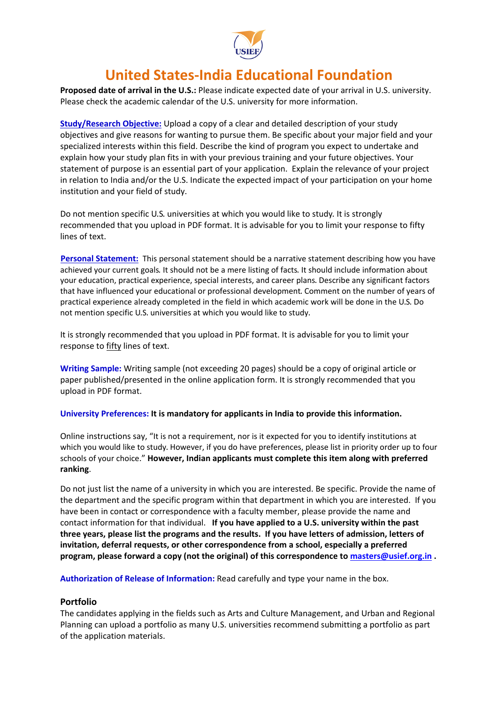

**Proposed date of arrival in the U.S.:** Please indicate expected date of your arrival in U.S. university. Please check the academic calendar of the U.S. university for more information.

**Study/Research Objective:** Upload a copy of a clear and detailed description of your study objectives and give reasons for wanting to pursue them. Be specific about your major field and your specialized interests within this field. Describe the kind of program you expect to undertake and explain how your study plan fits in with your previous training and your future objectives. Your statement of purpose is an essential part of your application. Explain the relevance of your project in relation to India and/or the U.S. Indicate the expected impact of your participation on your home institution and your field of study.

Do not mention specific U․S․ universities at which you would like to study․ It is strongly recommended that you upload in PDF format. It is advisable for you to limit your response to fifty lines of text.

 **Personal Statement:** This personal statement should be a narrative statement describing how you have achieved your current goals․ It should not be a mere listing of facts․ It should include information about your education, practical experience, special interests, and career plans․ Describe any significant factors that have influenced your educational or professional development․ Comment on the number of years of practical experience already completed in the field in which academic work will be done in the U․S․ Do not mention specific U․S․ universities at which you would like to study․

It is strongly recommended that you upload in PDF format. It is advisable for you to limit your response to fifty lines of text.

**Writing Sample:** Writing sample (not exceeding 20 pages) should be a copy of original article or paper published/presented in the online application form. It is strongly recommended that you upload in PDF format.

## **University Preferences: It is mandatory for applicants in India to provide this information.**

Online instructions say, "It is not a requirement, nor is it expected for you to identify institutions at which you would like to study․ However, if you do have preferences, please list in priority order up to four schools of your choice." **However, Indian applicants must complete this item along with preferred ranking**.

Do not just list the name of a university in which you are interested. Be specific. Provide the name of the department and the specific program within that department in which you are interested. If you have been in contact or correspondence with a faculty member, please provide the name and contact information for that individual. **If you have applied to a U.S. university within the past three years, please list the programs and the results. If you have letters of admission, letters of invitation, deferral requests, or other correspondence from a school, especially a preferred program, please forward a copy (not the original) of this correspondence to [masters@usief.org.in](mailto:masters@usief.org.in) .**

**Authorization of Release of Information:** Read carefully and type your name in the box.

## **Portfolio**

The candidates applying in the fields such as Arts and Culture Management, and Urban and Regional Planning can upload a portfolio as many U.S. universities recommend submitting a portfolio as part of the application materials.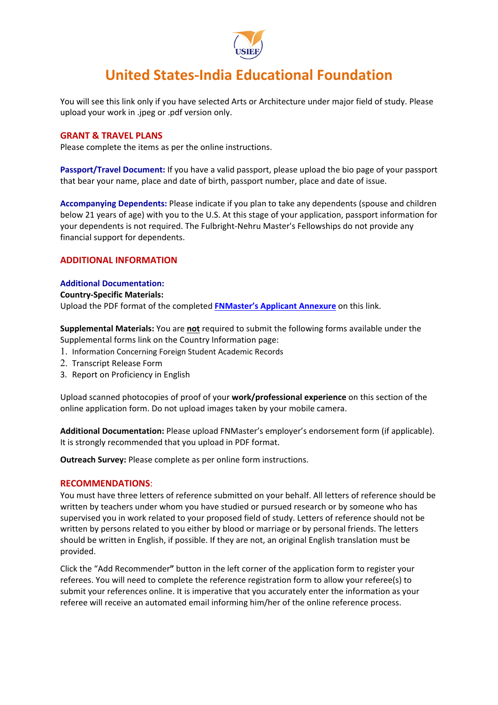

You will see this link only if you have selected Arts or Architecture under major field of study. Please upload your work in .jpeg or .pdf version only.

### **GRANT & TRAVEL PLANS**

Please complete the items as per the online instructions.

**Passport/Travel Document:** If you have a valid passport, please upload the bio page of your passport that bear your name, place and date of birth, passport number, place and date of issue.

**Accompanying Dependents:** Please indicate if you plan to take any dependents (spouse and children below 21 years of age) with you to the U.S. At this stage of your application, passport information for your dependents is not required. The Fulbright-Nehru Master's Fellowships do not provide any financial support for dependents.

## **ADDITIONAL INFORMATION**

### **Additional Documentation:**

#### **Country-Specific Materials:**

Upload the PDF format of the completed **[FNMaster's Applicant Annexure](https://usief.org.in/uploadip/ip2023-24/FNMasters_annexure.pdf)** on this link.

**Supplemental Materials:** You are **not** required to submit the following forms available under the Supplemental forms link on the Country Information page:

- 1. Information Concerning Foreign Student Academic Records
- 2. Transcript Release Form
- 3. Report on Proficiency in English

Upload scanned photocopies of proof of your **work/professional experience** on this section of the online application form. Do not upload images taken by your mobile camera.

**Additional Documentation:** Please upload FNMaster's employer's endorsement form (if applicable). It is strongly recommended that you upload in PDF format.

**Outreach Survey:** Please complete as per online form instructions.

#### **RECOMMENDATIONS**:

You must have three letters of reference submitted on your behalf. All letters of reference should be written by teachers under whom you have studied or pursued research or by someone who has supervised you in work related to your proposed field of study. Letters of reference should not be written by persons related to you either by blood or marriage or by personal friends. The letters should be written in English, if possible. If they are not, an original English translation must be provided.

Click the "Add Recommender**"** button in the left corner of the application form to register your referees. You will need to complete the reference registration form to allow your referee(s) to submit your references online. It is imperative that you accurately enter the information as your referee will receive an automated email informing him/her of the online reference process.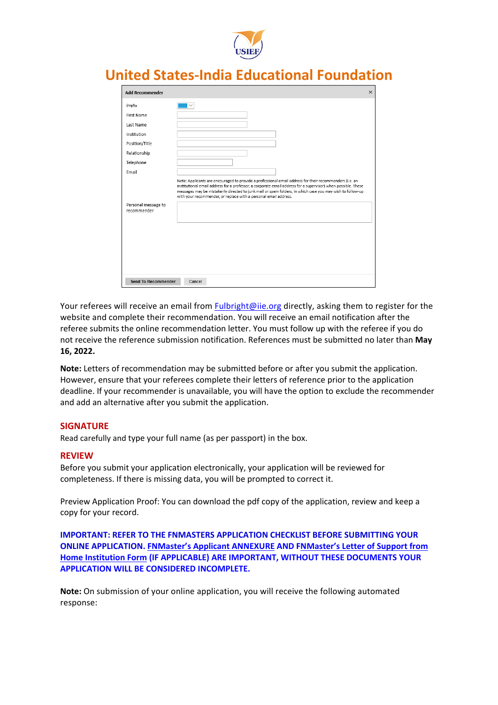

| <b>Add Recommender</b>             |                                                                                                                                                                                                                                                                                                                                                                                                           | $\times$ |
|------------------------------------|-----------------------------------------------------------------------------------------------------------------------------------------------------------------------------------------------------------------------------------------------------------------------------------------------------------------------------------------------------------------------------------------------------------|----------|
| Prefix                             |                                                                                                                                                                                                                                                                                                                                                                                                           |          |
| First Name                         |                                                                                                                                                                                                                                                                                                                                                                                                           |          |
| Last Name                          |                                                                                                                                                                                                                                                                                                                                                                                                           |          |
| Institution                        |                                                                                                                                                                                                                                                                                                                                                                                                           |          |
| Position/Title                     |                                                                                                                                                                                                                                                                                                                                                                                                           |          |
| Relationship                       |                                                                                                                                                                                                                                                                                                                                                                                                           |          |
| Telephone                          |                                                                                                                                                                                                                                                                                                                                                                                                           |          |
| Email                              |                                                                                                                                                                                                                                                                                                                                                                                                           |          |
| Personal message to<br>recommender | Note: Applicants are encouraged to provide a professional email address for their recommenders (i.e. an<br>institutional email address for a professor, a corporate email address for a supervisor) when possible. These<br>messages may be mistakenly directed to junk mail or spam folders, in which case you may wish to follow-up<br>with your recommender, or replace with a personal email address. |          |
| <b>Send To Recommender</b>         | Cancel                                                                                                                                                                                                                                                                                                                                                                                                    |          |

Your referees will receive an email from [Fulbright@iie.org](mailto:Fulbright@iie.org) directly, asking them to register for the website and complete their recommendation. You will receive an email notification after the referee submits the online recommendation letter. You must follow up with the referee if you do not receive the reference submission notification. References must be submitted no later than **May 16, 2022.**

**Note:** Letters of recommendation may be submitted before or after you submit the application. However, ensure that your referees complete their letters of reference prior to the application deadline. If your recommender is unavailable, you will have the option to exclude the recommender and add an alternative after you submit the application.

## **SIGNATURE**

Read carefully and type your full name (as per passport) in the box.

#### **REVIEW**

Before you submit your application electronically, your application will be reviewed for completeness. If there is missing data, you will be prompted to correct it.

Preview Application Proof: You can download the pdf copy of the application, review and keep a copy for your record.

**IMPORTANT: REFER TO THE FNMASTERS APPLICATION CHECKLIST BEFORE SUBMITTING YOUR ONLINE APPLICATION. [FNMaster's Applicant ANNEXURE](https://usief.org.in/uploadip/ip2023-24/FNMasters_annexure.pdf) AND FNMaster's Letter of Support from Home Institution Form (IF APPLICABLE) ARE IMPORTANT, WITHOUT THESE DOCUMENTS YOUR APPLICATION WILL BE CONSIDERED INCOMPLETE.**

**Note:** On submission of your online application, you will receive the following automated response: